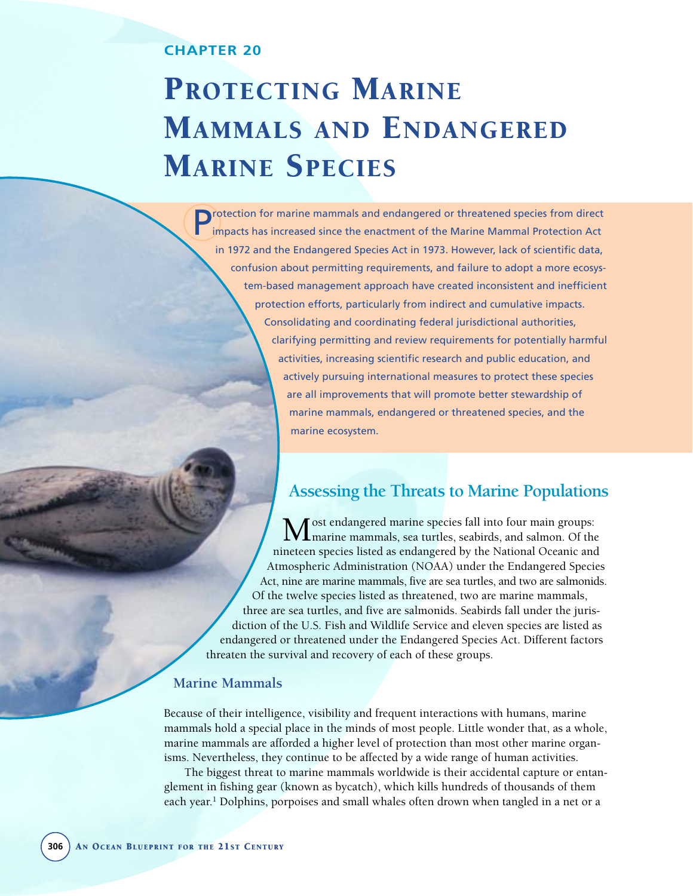## **CHAPTER 20**

# PROTECTING MARINE MAMMALS AND ENDANGERED MARINE SPECIES

Protection for marine mammals and endangered or threatened species from direct impacts has increased since the enactment of the Marine Mammal Protection Act in 1972 and the Endangered Species Act in 1973. However, lack of scientific data, confusion about permitting requirements, and failure to adopt a more ecosystem-based management approach have created inconsistent and inefficient protection efforts, particularly from indirect and cumulative impacts. Consolidating and coordinating federal jurisdictional authorities, clarifying permitting and review requirements for potentially harmful activities, increasing scientific research and public education, and actively pursuing international measures to protect these species are all improvements that will promote better stewardship of marine mammals, endangered or threatened species, and the marine ecosystem.

# **Assessing the Threats to Marine Populations**

Most endangered marine species fall into four main groups:<br>
Marine mammals, sea turtles, seabirds, and salmon. Of the nineteen species listed as endangered by the National Oceanic and Atmospheric Administration (NOAA) under the Endangered Species Act, nine are marine mammals, five are sea turtles, and two are salmonids. Of the twelve species listed as threatened, two are marine mammals, three are sea turtles, and five are salmonids. Seabirds fall under the jurisdiction of the U.S. Fish and Wildlife Service and eleven species are listed as endangered or threatened under the Endangered Species Act. Different factors threaten the survival and recovery of each of these groups.

## **Marine Mammals**

Because of their intelligence, visibility and frequent interactions with humans, marine mammals hold a special place in the minds of most people. Little wonder that, as a whole, marine mammals are afforded a higher level of protection than most other marine organisms. Nevertheless, they continue to be affected by a wide range of human activities.

The biggest threat to marine mammals worldwide is their accidental capture or entanglement in fishing gear (known as bycatch), which kills hundreds of thousands of them each year.<sup>1</sup> Dolphins, porpoises and small whales often drown when tangled in a net or a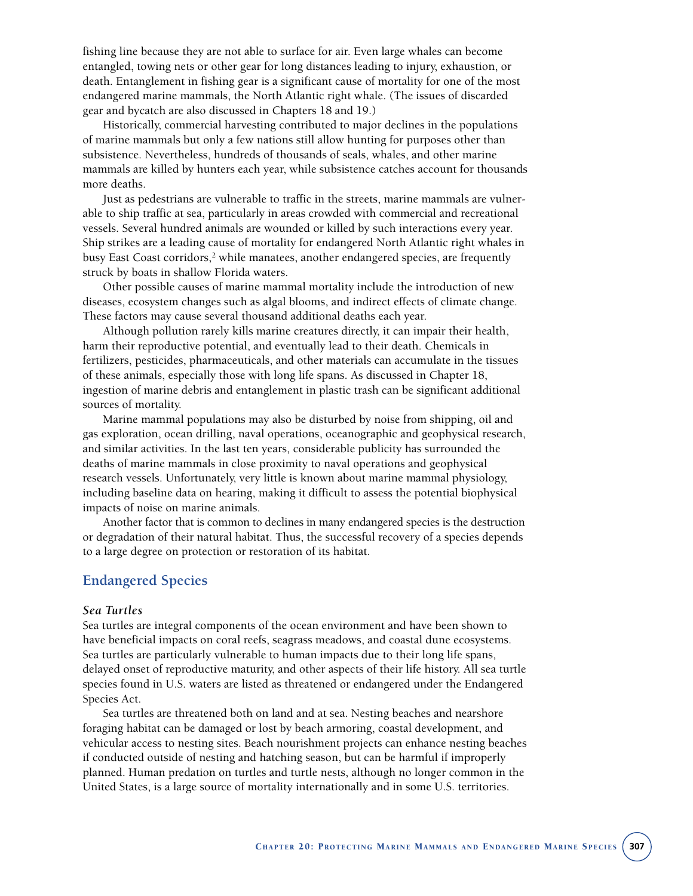fishing line because they are not able to surface for air. Even large whales can become entangled, towing nets or other gear for long distances leading to injury, exhaustion, or death. Entanglement in fishing gear is a significant cause of mortality for one of the most endangered marine mammals, the North Atlantic right whale. (The issues of discarded gear and bycatch are also discussed in Chapters 18 and 19.)

Historically, commercial harvesting contributed to major declines in the populations of marine mammals but only a few nations still allow hunting for purposes other than subsistence. Nevertheless, hundreds of thousands of seals, whales, and other marine mammals are killed by hunters each year, while subsistence catches account for thousands more deaths.

Just as pedestrians are vulnerable to traffic in the streets, marine mammals are vulnerable to ship traffic at sea, particularly in areas crowded with commercial and recreational vessels. Several hundred animals are wounded or killed by such interactions every year. Ship strikes are a leading cause of mortality for endangered North Atlantic right whales in busy East Coast corridors, $2$  while manatees, another endangered species, are frequently struck by boats in shallow Florida waters.

Other possible causes of marine mammal mortality include the introduction of new diseases, ecosystem changes such as algal blooms, and indirect effects of climate change. These factors may cause several thousand additional deaths each year.

Although pollution rarely kills marine creatures directly, it can impair their health, harm their reproductive potential, and eventually lead to their death. Chemicals in fertilizers, pesticides, pharmaceuticals, and other materials can accumulate in the tissues of these animals, especially those with long life spans. As discussed in Chapter 18, ingestion of marine debris and entanglement in plastic trash can be significant additional sources of mortality.

Marine mammal populations may also be disturbed by noise from shipping, oil and gas exploration, ocean drilling, naval operations, oceanographic and geophysical research, and similar activities. In the last ten years, considerable publicity has surrounded the deaths of marine mammals in close proximity to naval operations and geophysical research vessels. Unfortunately, very little is known about marine mammal physiology, including baseline data on hearing, making it difficult to assess the potential biophysical impacts of noise on marine animals.

Another factor that is common to declines in many endangered species is the destruction or degradation of their natural habitat. Thus, the successful recovery of a species depends to a large degree on protection or restoration of its habitat.

## **Endangered Species**

#### *Sea Turtles*

Sea turtles are integral components of the ocean environment and have been shown to have beneficial impacts on coral reefs, seagrass meadows, and coastal dune ecosystems. Sea turtles are particularly vulnerable to human impacts due to their long life spans, delayed onset of reproductive maturity, and other aspects of their life history. All sea turtle species found in U.S. waters are listed as threatened or endangered under the Endangered Species Act.

Sea turtles are threatened both on land and at sea. Nesting beaches and nearshore foraging habitat can be damaged or lost by beach armoring, coastal development, and vehicular access to nesting sites. Beach nourishment projects can enhance nesting beaches if conducted outside of nesting and hatching season, but can be harmful if improperly planned. Human predation on turtles and turtle nests, although no longer common in the United States, is a large source of mortality internationally and in some U.S. territories.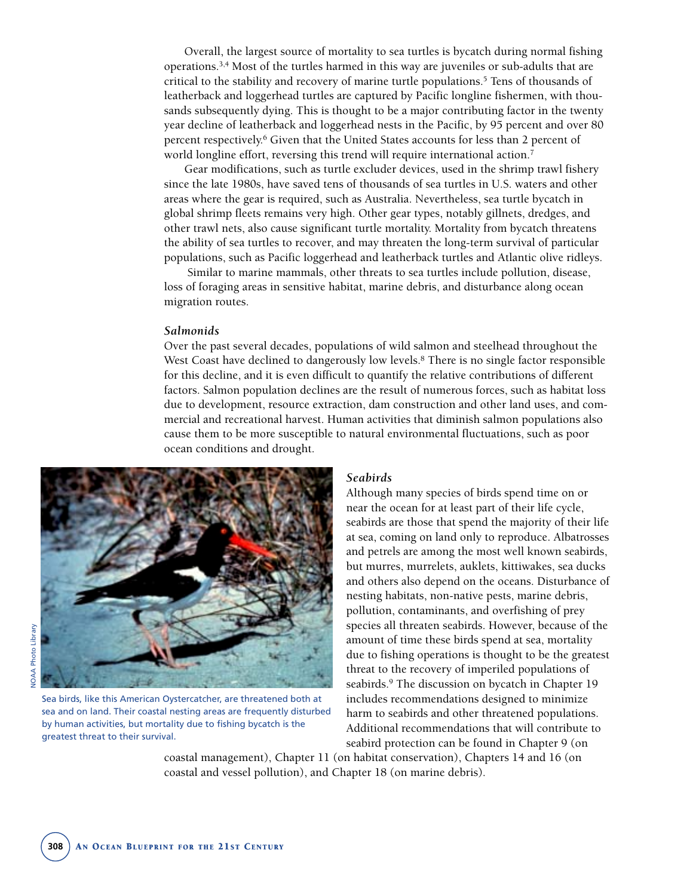Overall, the largest source of mortality to sea turtles is bycatch during normal fishing operations.3,4 Most of the turtles harmed in this way are juveniles or sub-adults that are critical to the stability and recovery of marine turtle populations.5 Tens of thousands of leatherback and loggerhead turtles are captured by Pacific longline fishermen, with thousands subsequently dying. This is thought to be a major contributing factor in the twenty year decline of leatherback and loggerhead nests in the Pacific, by 95 percent and over 80 percent respectively.6 Given that the United States accounts for less than 2 percent of world longline effort, reversing this trend will require international action.<sup>7</sup>

Gear modifications, such as turtle excluder devices, used in the shrimp trawl fishery since the late 1980s, have saved tens of thousands of sea turtles in U.S. waters and other areas where the gear is required, such as Australia. Nevertheless, sea turtle bycatch in global shrimp fleets remains very high. Other gear types, notably gillnets, dredges, and other trawl nets, also cause significant turtle mortality. Mortality from bycatch threatens the ability of sea turtles to recover, and may threaten the long-term survival of particular populations, such as Pacific loggerhead and leatherback turtles and Atlantic olive ridleys.

Similar to marine mammals, other threats to sea turtles include pollution, disease, loss of foraging areas in sensitive habitat, marine debris, and disturbance along ocean migration routes.

#### *Salmonids*

Over the past several decades, populations of wild salmon and steelhead throughout the West Coast have declined to dangerously low levels.<sup>8</sup> There is no single factor responsible for this decline, and it is even difficult to quantify the relative contributions of different factors. Salmon population declines are the result of numerous forces, such as habitat loss due to development, resource extraction, dam construction and other land uses, and commercial and recreational harvest. Human activities that diminish salmon populations also cause them to be more susceptible to natural environmental fluctuations, such as poor ocean conditions and drought.



Sea birds, like this American Oystercatcher, are threatened both at sea and on land. Their coastal nesting areas are frequently disturbed by human activities, but mortality due to fishing bycatch is the greatest threat to their survival.

#### *Seabirds*

Although many species of birds spend time on or near the ocean for at least part of their life cycle, seabirds are those that spend the majority of their life at sea, coming on land only to reproduce. Albatrosses and petrels are among the most well known seabirds, but murres, murrelets, auklets, kittiwakes, sea ducks and others also depend on the oceans. Disturbance of nesting habitats, non-native pests, marine debris, pollution, contaminants, and overfishing of prey species all threaten seabirds. However, because of the amount of time these birds spend at sea, mortality due to fishing operations is thought to be the greatest threat to the recovery of imperiled populations of seabirds.<sup>9</sup> The discussion on bycatch in Chapter 19 includes recommendations designed to minimize harm to seabirds and other threatened populations. Additional recommendations that will contribute to seabird protection can be found in Chapter 9 (on

coastal management), Chapter 11 (on habitat conservation), Chapters 14 and 16 (on coastal and vessel pollution), and Chapter 18 (on marine debris).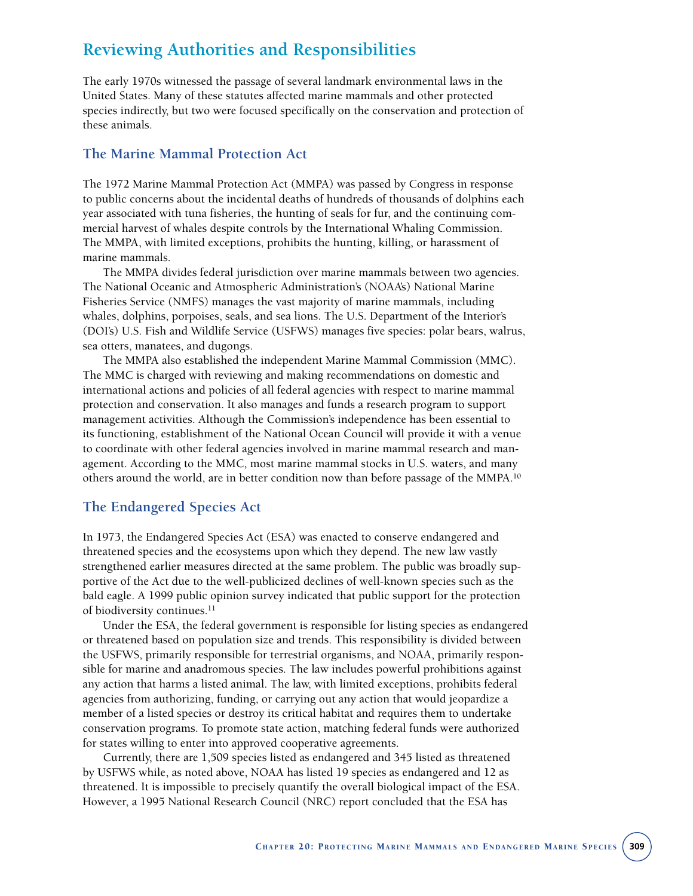# **Reviewing Authorities and Responsibilities**

The early 1970s witnessed the passage of several landmark environmental laws in the United States. Many of these statutes affected marine mammals and other protected species indirectly, but two were focused specifically on the conservation and protection of these animals.

## **The Marine Mammal Protection Act**

The 1972 Marine Mammal Protection Act (MMPA) was passed by Congress in response to public concerns about the incidental deaths of hundreds of thousands of dolphins each year associated with tuna fisheries, the hunting of seals for fur, and the continuing commercial harvest of whales despite controls by the International Whaling Commission. The MMPA, with limited exceptions, prohibits the hunting, killing, or harassment of marine mammals.

The MMPA divides federal jurisdiction over marine mammals between two agencies. The National Oceanic and Atmospheric Administration's (NOAA's) National Marine Fisheries Service (NMFS) manages the vast majority of marine mammals, including whales, dolphins, porpoises, seals, and sea lions. The U.S. Department of the Interior's (DOI's) U.S. Fish and Wildlife Service (USFWS) manages five species: polar bears, walrus, sea otters, manatees, and dugongs.

The MMPA also established the independent Marine Mammal Commission (MMC). The MMC is charged with reviewing and making recommendations on domestic and international actions and policies of all federal agencies with respect to marine mammal protection and conservation. It also manages and funds a research program to support management activities. Although the Commission's independence has been essential to its functioning, establishment of the National Ocean Council will provide it with a venue to coordinate with other federal agencies involved in marine mammal research and management. According to the MMC, most marine mammal stocks in U.S. waters, and many others around the world, are in better condition now than before passage of the MMPA.<sup>10</sup>

## **The Endangered Species Act**

In 1973, the Endangered Species Act (ESA) was enacted to conserve endangered and threatened species and the ecosystems upon which they depend. The new law vastly strengthened earlier measures directed at the same problem. The public was broadly supportive of the Act due to the well-publicized declines of well-known species such as the bald eagle. A 1999 public opinion survey indicated that public support for the protection of biodiversity continues.<sup>11</sup>

Under the ESA, the federal government is responsible for listing species as endangered or threatened based on population size and trends. This responsibility is divided between the USFWS, primarily responsible for terrestrial organisms, and NOAA, primarily responsible for marine and anadromous species. The law includes powerful prohibitions against any action that harms a listed animal. The law, with limited exceptions, prohibits federal agencies from authorizing, funding, or carrying out any action that would jeopardize a member of a listed species or destroy its critical habitat and requires them to undertake conservation programs. To promote state action, matching federal funds were authorized for states willing to enter into approved cooperative agreements.

Currently, there are 1,509 species listed as endangered and 345 listed as threatened by USFWS while, as noted above, NOAA has listed 19 species as endangered and 12 as threatened. It is impossible to precisely quantify the overall biological impact of the ESA. However, a 1995 National Research Council (NRC) report concluded that the ESA has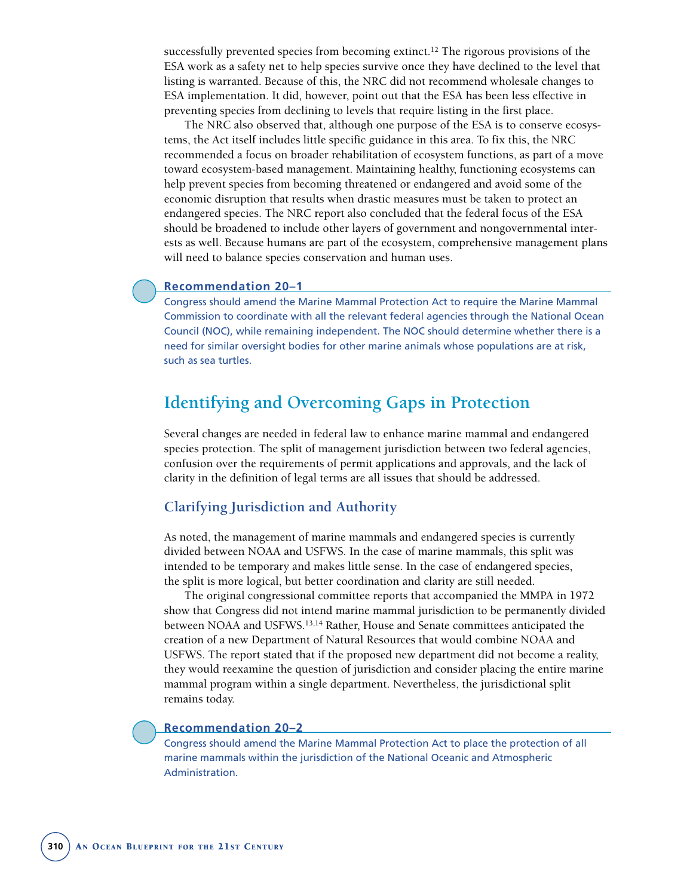successfully prevented species from becoming extinct.12 The rigorous provisions of the ESA work as a safety net to help species survive once they have declined to the level that listing is warranted. Because of this, the NRC did not recommend wholesale changes to ESA implementation. It did, however, point out that the ESA has been less effective in preventing species from declining to levels that require listing in the first place.

The NRC also observed that, although one purpose of the ESA is to conserve ecosystems, the Act itself includes little specific guidance in this area. To fix this, the NRC recommended a focus on broader rehabilitation of ecosystem functions, as part of a move toward ecosystem-based management. Maintaining healthy, functioning ecosystems can help prevent species from becoming threatened or endangered and avoid some of the economic disruption that results when drastic measures must be taken to protect an endangered species. The NRC report also concluded that the federal focus of the ESA should be broadened to include other layers of government and nongovernmental interests as well. Because humans are part of the ecosystem, comprehensive management plans will need to balance species conservation and human uses.

#### **Recommendation 20–1**

Congress should amend the Marine Mammal Protection Act to require the Marine Mammal Commission to coordinate with all the relevant federal agencies through the National Ocean Council (NOC), while remaining independent. The NOC should determine whether there is a need for similar oversight bodies for other marine animals whose populations are at risk, such as sea turtles.

# **Identifying and Overcoming Gaps in Protection**

Several changes are needed in federal law to enhance marine mammal and endangered species protection. The split of management jurisdiction between two federal agencies, confusion over the requirements of permit applications and approvals, and the lack of clarity in the definition of legal terms are all issues that should be addressed.

## **Clarifying Jurisdiction and Authority**

As noted, the management of marine mammals and endangered species is currently divided between NOAA and USFWS. In the case of marine mammals, this split was intended to be temporary and makes little sense. In the case of endangered species, the split is more logical, but better coordination and clarity are still needed.

The original congressional committee reports that accompanied the MMPA in 1972 show that Congress did not intend marine mammal jurisdiction to be permanently divided between NOAA and USFWS.<sup>13,14</sup> Rather, House and Senate committees anticipated the creation of a new Department of Natural Resources that would combine NOAA and USFWS. The report stated that if the proposed new department did not become a reality, they would reexamine the question of jurisdiction and consider placing the entire marine mammal program within a single department. Nevertheless, the jurisdictional split remains today.

#### **Recommendation 20–2**

Congress should amend the Marine Mammal Protection Act to place the protection of all marine mammals within the jurisdiction of the National Oceanic and Atmospheric Administration.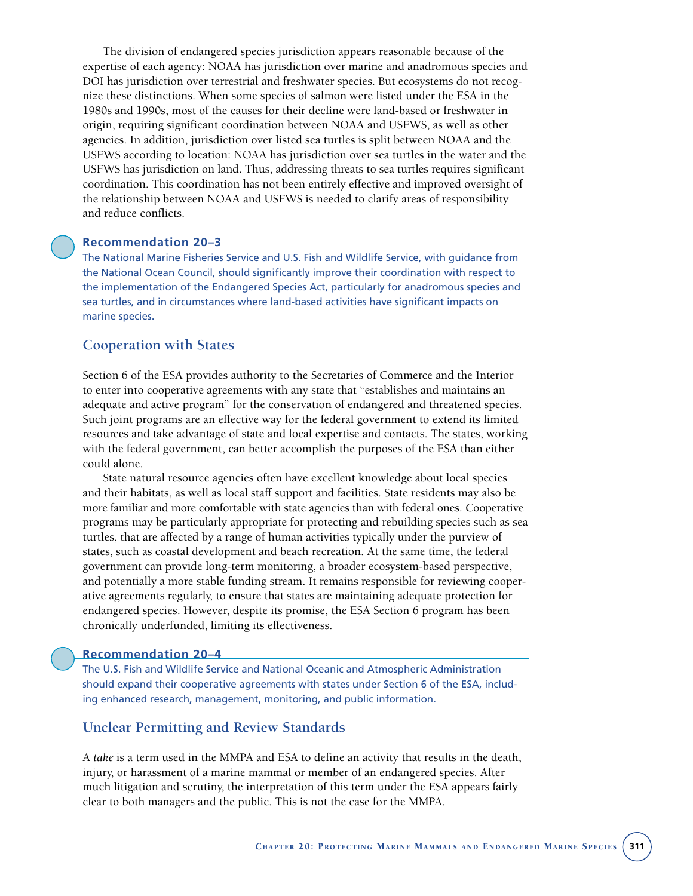The division of endangered species jurisdiction appears reasonable because of the expertise of each agency: NOAA has jurisdiction over marine and anadromous species and DOI has jurisdiction over terrestrial and freshwater species. But ecosystems do not recognize these distinctions. When some species of salmon were listed under the ESA in the 1980s and 1990s, most of the causes for their decline were land-based or freshwater in origin, requiring significant coordination between NOAA and USFWS, as well as other agencies. In addition, jurisdiction over listed sea turtles is split between NOAA and the USFWS according to location: NOAA has jurisdiction over sea turtles in the water and the USFWS has jurisdiction on land. Thus, addressing threats to sea turtles requires significant coordination. This coordination has not been entirely effective and improved oversight of the relationship between NOAA and USFWS is needed to clarify areas of responsibility and reduce conflicts.

#### **Recommendation 20–3**

The National Marine Fisheries Service and U.S. Fish and Wildlife Service, with guidance from the National Ocean Council, should significantly improve their coordination with respect to the implementation of the Endangered Species Act, particularly for anadromous species and sea turtles, and in circumstances where land-based activities have significant impacts on marine species.

## **Cooperation with States**

Section 6 of the ESA provides authority to the Secretaries of Commerce and the Interior to enter into cooperative agreements with any state that "establishes and maintains an adequate and active program" for the conservation of endangered and threatened species. Such joint programs are an effective way for the federal government to extend its limited resources and take advantage of state and local expertise and contacts. The states, working with the federal government, can better accomplish the purposes of the ESA than either could alone.

State natural resource agencies often have excellent knowledge about local species and their habitats, as well as local staff support and facilities. State residents may also be more familiar and more comfortable with state agencies than with federal ones. Cooperative programs may be particularly appropriate for protecting and rebuilding species such as sea turtles, that are affected by a range of human activities typically under the purview of states, such as coastal development and beach recreation. At the same time, the federal government can provide long-term monitoring, a broader ecosystem-based perspective, and potentially a more stable funding stream. It remains responsible for reviewing cooperative agreements regularly, to ensure that states are maintaining adequate protection for endangered species. However, despite its promise, the ESA Section 6 program has been chronically underfunded, limiting its effectiveness.

#### **Recommendation 20–4**

The U.S. Fish and Wildlife Service and National Oceanic and Atmospheric Administration should expand their cooperative agreements with states under Section 6 of the ESA, including enhanced research, management, monitoring, and public information.

## **Unclear Permitting and Review Standards**

A *take* is a term used in the MMPA and ESA to define an activity that results in the death, injury, or harassment of a marine mammal or member of an endangered species. After much litigation and scrutiny, the interpretation of this term under the ESA appears fairly clear to both managers and the public. This is not the case for the MMPA.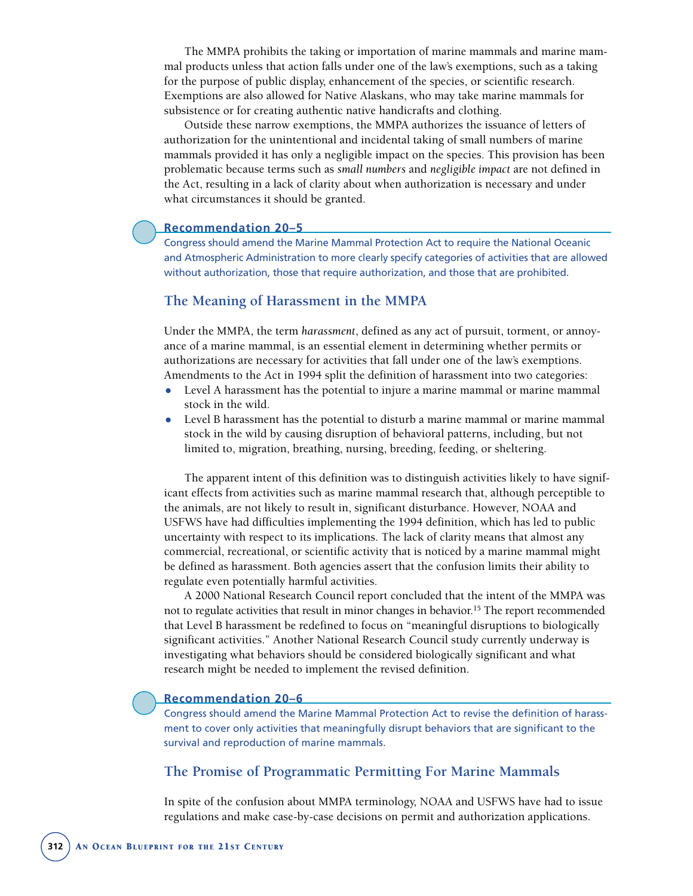The MMPA prohibits the taking or importation of marine mammals and marine mammal products unless that action falls under one of the law's exemptions, such as a taking for the purpose of public display, enhancement of the species, or scientific research. Exemptions are also allowed for Native Alaskans, who may take marine mammals for subsistence or for creating authentic native handicrafts and clothing.

Outside these narrow exemptions, the MMPA authorizes the issuance of letters of authorization for the unintentional and incidental taking of small numbers of marine mammals provided it has only a negligible impact on the species. This provision has been problematic because terms such as *small numbers* and *negligible impact* are not defined in the Act, resulting in a lack of clarity about when authorization is necessary and under what circumstances it should be granted.

#### **Recommendation 20–5**

Congress should amend the Marine Mammal Protection Act to require the National Oceanic and Atmospheric Administration to more clearly specify categories of activities that are allowed without authorization, those that require authorization, and those that are prohibited.

## **The Meaning of Harassment in the MMPA**

Under the MMPA, the term *harassment*, defined as any act of pursuit, torment, or annoyance of a marine mammal, is an essential element in determining whether permits or authorizations are necessary for activities that fall under one of the law's exemptions. Amendments to the Act in 1994 split the definition of harassment into two categories:

- Level A harassment has the potential to injure a marine mammal or marine mammal stock in the wild.
- Level B harassment has the potential to disturb a marine mammal or marine mammal stock in the wild by causing disruption of behavioral patterns, including, but not limited to, migration, breathing, nursing, breeding, feeding, or sheltering.

The apparent intent of this definition was to distinguish activities likely to have significant effects from activities such as marine mammal research that, although perceptible to the animals, are not likely to result in, significant disturbance. However, NOAA and USFWS have had difficulties implementing the 1994 definition, which has led to public uncertainty with respect to its implications. The lack of clarity means that almost any commercial, recreational, or scientific activity that is noticed by a marine mammal might be defined as harassment. Both agencies assert that the confusion limits their ability to regulate even potentially harmful activities.

A 2000 National Research Council report concluded that the intent of the MMPA was not to regulate activities that result in minor changes in behavior.<sup>15</sup> The report recommended that Level B harassment be redefined to focus on "meaningful disruptions to biologically significant activities." Another National Research Council study currently underway is investigating what behaviors should be considered biologically significant and what research might be needed to implement the revised definition.

#### **Recommendation 20–6**

Congress should amend the Marine Mammal Protection Act to revise the definition of harassment to cover only activities that meaningfully disrupt behaviors that are significant to the survival and reproduction of marine mammals.

## **The Promise of Programmatic Permitting For Marine Mammals**

In spite of the confusion about MMPA terminology, NOAA and USFWS have had to issue regulations and make case-by-case decisions on permit and authorization applications.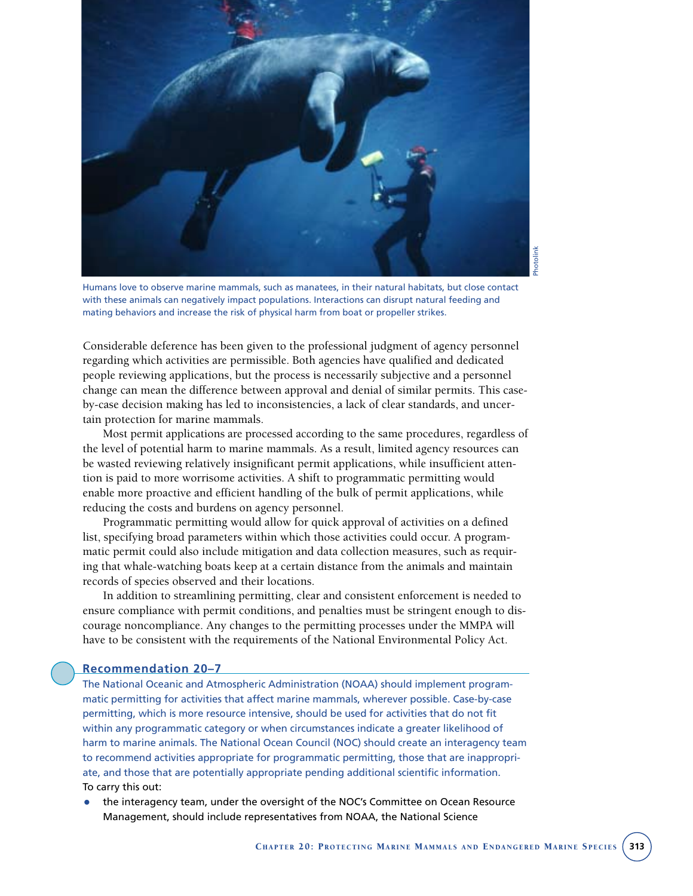

Photolink**hotolink** 

Humans love to observe marine mammals, such as manatees, in their natural habitats, but close contact with these animals can negatively impact populations. Interactions can disrupt natural feeding and mating behaviors and increase the risk of physical harm from boat or propeller strikes.

Considerable deference has been given to the professional judgment of agency personnel regarding which activities are permissible. Both agencies have qualified and dedicated people reviewing applications, but the process is necessarily subjective and a personnel change can mean the difference between approval and denial of similar permits. This caseby-case decision making has led to inconsistencies, a lack of clear standards, and uncertain protection for marine mammals.

Most permit applications are processed according to the same procedures, regardless of the level of potential harm to marine mammals. As a result, limited agency resources can be wasted reviewing relatively insignificant permit applications, while insufficient attention is paid to more worrisome activities. A shift to programmatic permitting would enable more proactive and efficient handling of the bulk of permit applications, while reducing the costs and burdens on agency personnel.

Programmatic permitting would allow for quick approval of activities on a defined list, specifying broad parameters within which those activities could occur. A programmatic permit could also include mitigation and data collection measures, such as requiring that whale-watching boats keep at a certain distance from the animals and maintain records of species observed and their locations.

In addition to streamlining permitting, clear and consistent enforcement is needed to ensure compliance with permit conditions, and penalties must be stringent enough to discourage noncompliance. Any changes to the permitting processes under the MMPA will have to be consistent with the requirements of the National Environmental Policy Act.

#### **Recommendation 20–7**

The National Oceanic and Atmospheric Administration (NOAA) should implement programmatic permitting for activities that affect marine mammals, wherever possible. Case-by-case permitting, which is more resource intensive, should be used for activities that do not fit within any programmatic category or when circumstances indicate a greater likelihood of harm to marine animals. The National Ocean Council (NOC) should create an interagency team to recommend activities appropriate for programmatic permitting, those that are inappropriate, and those that are potentially appropriate pending additional scientific information. To carry this out:

• the interagency team, under the oversight of the NOC's Committee on Ocean Resource Management, should include representatives from NOAA, the National Science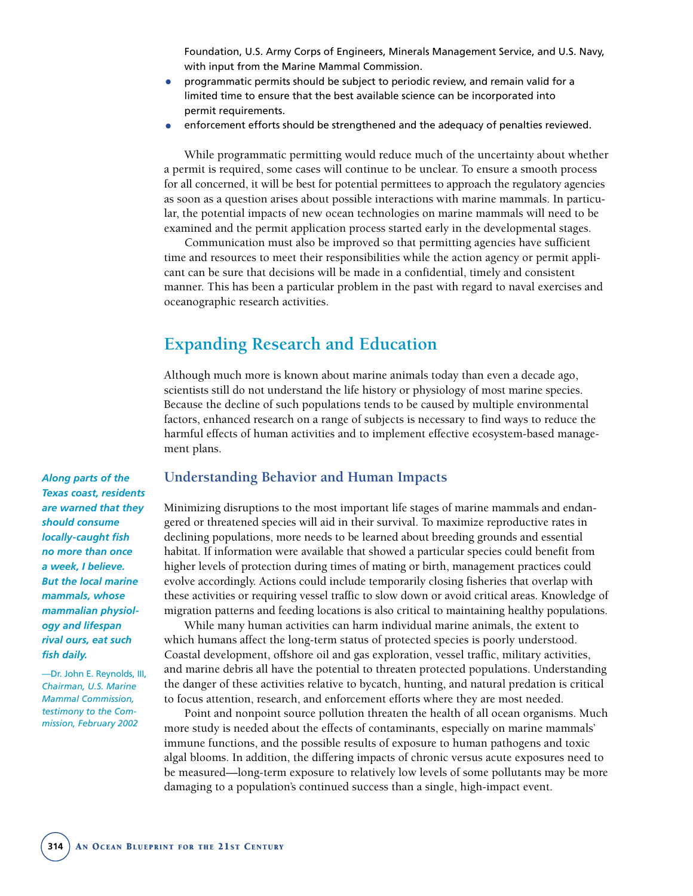Foundation, U.S. Army Corps of Engineers, Minerals Management Service, and U.S. Navy, with input from the Marine Mammal Commission.

- programmatic permits should be subject to periodic review, and remain valid for a limited time to ensure that the best available science can be incorporated into permit requirements.
- enforcement efforts should be strengthened and the adequacy of penalties reviewed.

While programmatic permitting would reduce much of the uncertainty about whether a permit is required, some cases will continue to be unclear. To ensure a smooth process for all concerned, it will be best for potential permittees to approach the regulatory agencies as soon as a question arises about possible interactions with marine mammals. In particular, the potential impacts of new ocean technologies on marine mammals will need to be examined and the permit application process started early in the developmental stages.

Communication must also be improved so that permitting agencies have sufficient time and resources to meet their responsibilities while the action agency or permit applicant can be sure that decisions will be made in a confidential, timely and consistent manner. This has been a particular problem in the past with regard to naval exercises and oceanographic research activities.

# **Expanding Research and Education**

Although much more is known about marine animals today than even a decade ago, scientists still do not understand the life history or physiology of most marine species. Because the decline of such populations tends to be caused by multiple environmental factors, enhanced research on a range of subjects is necessary to find ways to reduce the harmful effects of human activities and to implement effective ecosystem-based management plans.

*Along parts of the Texas coast, residents are warned that they should consume locally-caught fish no more than once a week, I believe. But the local marine mammals, whose mammalian physiology and lifespan rival ours, eat such fish daily.* 

—Dr. John E. Reynolds, III, *Chairman, U.S. Marine Mammal Commission, testimony to the Commission, February 2002*

#### **Understanding Behavior and Human Impacts**

Minimizing disruptions to the most important life stages of marine mammals and endangered or threatened species will aid in their survival. To maximize reproductive rates in declining populations, more needs to be learned about breeding grounds and essential habitat. If information were available that showed a particular species could benefit from higher levels of protection during times of mating or birth, management practices could evolve accordingly. Actions could include temporarily closing fisheries that overlap with these activities or requiring vessel traffic to slow down or avoid critical areas. Knowledge of migration patterns and feeding locations is also critical to maintaining healthy populations.

While many human activities can harm individual marine animals, the extent to which humans affect the long-term status of protected species is poorly understood. Coastal development, offshore oil and gas exploration, vessel traffic, military activities, and marine debris all have the potential to threaten protected populations. Understanding the danger of these activities relative to bycatch, hunting, and natural predation is critical to focus attention, research, and enforcement efforts where they are most needed.

Point and nonpoint source pollution threaten the health of all ocean organisms. Much more study is needed about the effects of contaminants, especially on marine mammals' immune functions, and the possible results of exposure to human pathogens and toxic algal blooms. In addition, the differing impacts of chronic versus acute exposures need to be measured—long-term exposure to relatively low levels of some pollutants may be more damaging to a population's continued success than a single, high-impact event.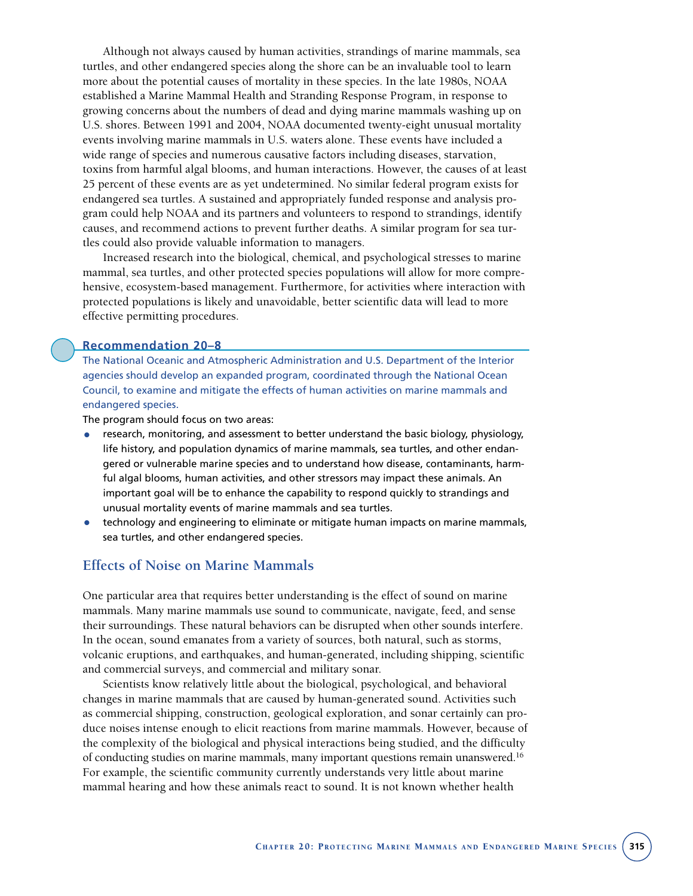Although not always caused by human activities, strandings of marine mammals, sea turtles, and other endangered species along the shore can be an invaluable tool to learn more about the potential causes of mortality in these species. In the late 1980s, NOAA established a Marine Mammal Health and Stranding Response Program, in response to growing concerns about the numbers of dead and dying marine mammals washing up on U.S. shores. Between 1991 and 2004, NOAA documented twenty-eight unusual mortality events involving marine mammals in U.S. waters alone. These events have included a wide range of species and numerous causative factors including diseases, starvation, toxins from harmful algal blooms, and human interactions. However, the causes of at least 25 percent of these events are as yet undetermined. No similar federal program exists for endangered sea turtles. A sustained and appropriately funded response and analysis program could help NOAA and its partners and volunteers to respond to strandings, identify causes, and recommend actions to prevent further deaths. A similar program for sea turtles could also provide valuable information to managers.

Increased research into the biological, chemical, and psychological stresses to marine mammal, sea turtles, and other protected species populations will allow for more comprehensive, ecosystem-based management. Furthermore, for activities where interaction with protected populations is likely and unavoidable, better scientific data will lead to more effective permitting procedures.

#### **Recommendation 20–8**

The National Oceanic and Atmospheric Administration and U.S. Department of the Interior agencies should develop an expanded program, coordinated through the National Ocean Council, to examine and mitigate the effects of human activities on marine mammals and endangered species.

The program should focus on two areas:

- research, monitoring, and assessment to better understand the basic biology, physiology, life history, and population dynamics of marine mammals, sea turtles, and other endangered or vulnerable marine species and to understand how disease, contaminants, harmful algal blooms, human activities, and other stressors may impact these animals. An important goal will be to enhance the capability to respond quickly to strandings and unusual mortality events of marine mammals and sea turtles.
- technology and engineering to eliminate or mitigate human impacts on marine mammals, sea turtles, and other endangered species.

## **Effects of Noise on Marine Mammals**

One particular area that requires better understanding is the effect of sound on marine mammals. Many marine mammals use sound to communicate, navigate, feed, and sense their surroundings. These natural behaviors can be disrupted when other sounds interfere. In the ocean, sound emanates from a variety of sources, both natural, such as storms, volcanic eruptions, and earthquakes, and human-generated, including shipping, scientific and commercial surveys, and commercial and military sonar.

Scientists know relatively little about the biological, psychological, and behavioral changes in marine mammals that are caused by human-generated sound. Activities such as commercial shipping, construction, geological exploration, and sonar certainly can produce noises intense enough to elicit reactions from marine mammals. However, because of the complexity of the biological and physical interactions being studied, and the difficulty of conducting studies on marine mammals, many important questions remain unanswered.16 For example, the scientific community currently understands very little about marine mammal hearing and how these animals react to sound. It is not known whether health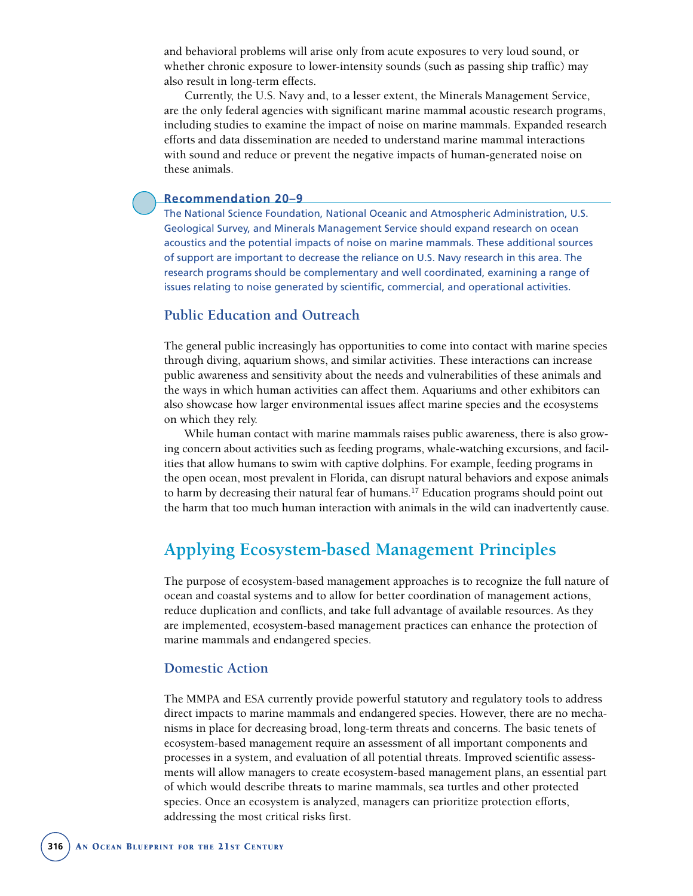and behavioral problems will arise only from acute exposures to very loud sound, or whether chronic exposure to lower-intensity sounds (such as passing ship traffic) may also result in long-term effects.

Currently, the U.S. Navy and, to a lesser extent, the Minerals Management Service, are the only federal agencies with significant marine mammal acoustic research programs, including studies to examine the impact of noise on marine mammals. Expanded research efforts and data dissemination are needed to understand marine mammal interactions with sound and reduce or prevent the negative impacts of human-generated noise on these animals.

#### **Recommendation 20–9**

The National Science Foundation, National Oceanic and Atmospheric Administration, U.S. Geological Survey, and Minerals Management Service should expand research on ocean acoustics and the potential impacts of noise on marine mammals. These additional sources of support are important to decrease the reliance on U.S. Navy research in this area. The research programs should be complementary and well coordinated, examining a range of issues relating to noise generated by scientific, commercial, and operational activities.

## **Public Education and Outreach**

The general public increasingly has opportunities to come into contact with marine species through diving, aquarium shows, and similar activities. These interactions can increase public awareness and sensitivity about the needs and vulnerabilities of these animals and the ways in which human activities can affect them. Aquariums and other exhibitors can also showcase how larger environmental issues affect marine species and the ecosystems on which they rely.

While human contact with marine mammals raises public awareness, there is also growing concern about activities such as feeding programs, whale-watching excursions, and facilities that allow humans to swim with captive dolphins. For example, feeding programs in the open ocean, most prevalent in Florida, can disrupt natural behaviors and expose animals to harm by decreasing their natural fear of humans.17 Education programs should point out the harm that too much human interaction with animals in the wild can inadvertently cause.

# **Applying Ecosystem-based Management Principles**

The purpose of ecosystem-based management approaches is to recognize the full nature of ocean and coastal systems and to allow for better coordination of management actions, reduce duplication and conflicts, and take full advantage of available resources. As they are implemented, ecosystem-based management practices can enhance the protection of marine mammals and endangered species.

#### **Domestic Action**

The MMPA and ESA currently provide powerful statutory and regulatory tools to address direct impacts to marine mammals and endangered species. However, there are no mechanisms in place for decreasing broad, long-term threats and concerns. The basic tenets of ecosystem-based management require an assessment of all important components and processes in a system, and evaluation of all potential threats. Improved scientific assessments will allow managers to create ecosystem-based management plans, an essential part of which would describe threats to marine mammals, sea turtles and other protected species. Once an ecosystem is analyzed, managers can prioritize protection efforts, addressing the most critical risks first.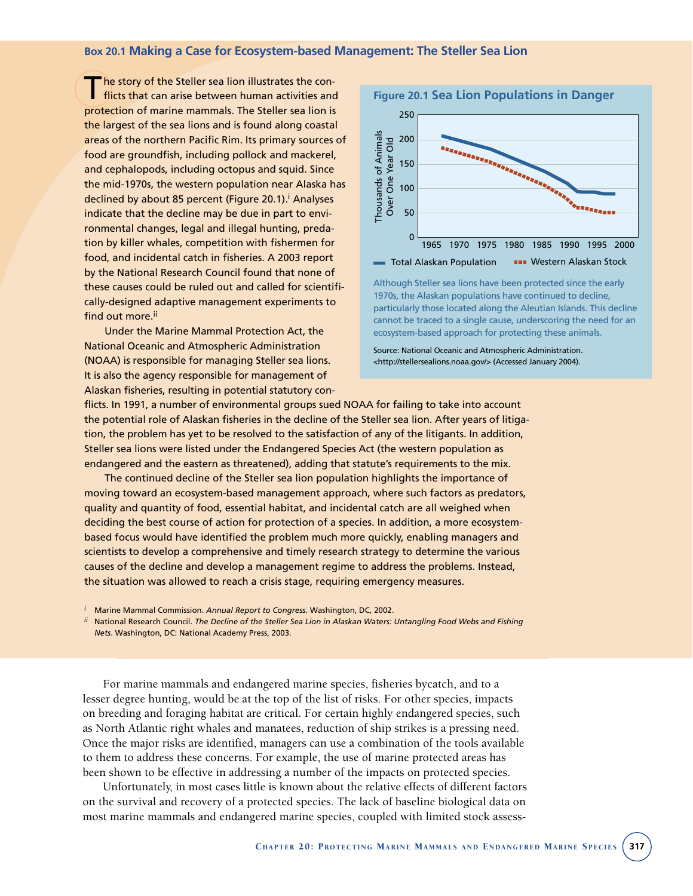#### **Box 20.1 Making a Case for Ecosystem-based Management: The Steller Sea Lion**

he story of the Steller sea lion illustrates the conflicts that can arise between human activities and protection of marine mammals. The Steller sea lion is the largest of the sea lions and is found along coastal areas of the northern Pacific Rim. Its primary sources of food are groundfish, including pollock and mackerel, and cephalopods, including octopus and squid. Since the mid-1970s, the western population near Alaska has declined by about 85 percent (Figure 20.1).<sup>i</sup> Analyses indicate that the decline may be due in part to environmental changes, legal and illegal hunting, predation by killer whales, competition with fishermen for food, and incidental catch in fisheries. A 2003 report by the National Research Council found that none of these causes could be ruled out and called for scientifically-designed adaptive management experiments to find out more.<sup>ii</sup>

Under the Marine Mammal Protection Act, the National Oceanic and Atmospheric Administration (NOAA) is responsible for managing Steller sea lions. It is also the agency responsible for management of Alaskan fisheries, resulting in potential statutory con-



Although Steller sea lions have been protected since the early 1970s, the Alaskan populations have continued to decline, particularly those located along the Aleutian Islands. This decline cannot be traced to a single cause, underscoring the need for an ecosystem-based approach for protecting these animals.

Source: National Oceanic and Atmospheric Administration. <http://stellersealions.noaa.gov/> (Accessed January 2004).

flicts. In 1991, a number of environmental groups sued NOAA for failing to take into account the potential role of Alaskan fisheries in the decline of the Steller sea lion. After years of litigation, the problem has yet to be resolved to the satisfaction of any of the litigants. In addition, Steller sea lions were listed under the Endangered Species Act (the western population as endangered and the eastern as threatened), adding that statute's requirements to the mix.

The continued decline of the Steller sea lion population highlights the importance of moving toward an ecosystem-based management approach, where such factors as predators, quality and quantity of food, essential habitat, and incidental catch are all weighed when deciding the best course of action for protection of a species. In addition, a more ecosystembased focus would have identified the problem much more quickly, enabling managers and scientists to develop a comprehensive and timely research strategy to determine the various causes of the decline and develop a management regime to address the problems. Instead, the situation was allowed to reach a crisis stage, requiring emergency measures.

*<sup>i</sup>* Marine Mammal Commission. *Annual Report to Congress*. Washington, DC, 2002.

*ii* National Research Council. *The Decline of the Steller Sea Lion in Alaskan Waters: Untangling Food Webs and Fishing Nets*. Washington, DC: National Academy Press, 2003.

For marine mammals and endangered marine species, fisheries bycatch, and to a lesser degree hunting, would be at the top of the list of risks. For other species, impacts on breeding and foraging habitat are critical. For certain highly endangered species, such as North Atlantic right whales and manatees, reduction of ship strikes is a pressing need. Once the major risks are identified, managers can use a combination of the tools available to them to address these concerns. For example, the use of marine protected areas has been shown to be effective in addressing a number of the impacts on protected species.

Unfortunately, in most cases little is known about the relative effects of different factors on the survival and recovery of a protected species. The lack of baseline biological data on most marine mammals and endangered marine species, coupled with limited stock assess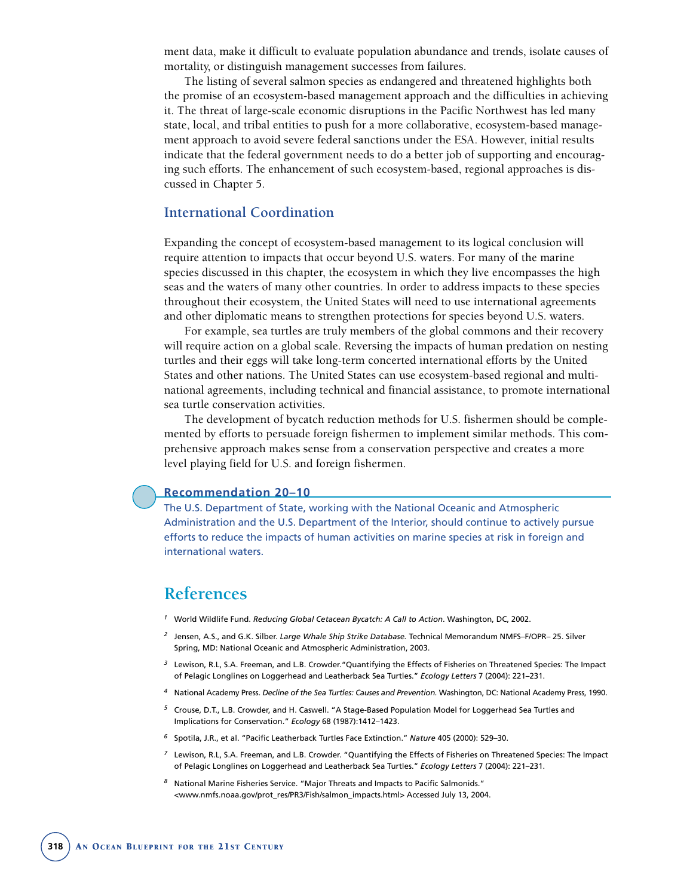ment data, make it difficult to evaluate population abundance and trends, isolate causes of mortality, or distinguish management successes from failures.

The listing of several salmon species as endangered and threatened highlights both the promise of an ecosystem-based management approach and the difficulties in achieving it. The threat of large-scale economic disruptions in the Pacific Northwest has led many state, local, and tribal entities to push for a more collaborative, ecosystem-based management approach to avoid severe federal sanctions under the ESA. However, initial results indicate that the federal government needs to do a better job of supporting and encouraging such efforts. The enhancement of such ecosystem-based, regional approaches is discussed in Chapter 5.

## **International Coordination**

Expanding the concept of ecosystem-based management to its logical conclusion will require attention to impacts that occur beyond U.S. waters. For many of the marine species discussed in this chapter, the ecosystem in which they live encompasses the high seas and the waters of many other countries. In order to address impacts to these species throughout their ecosystem, the United States will need to use international agreements and other diplomatic means to strengthen protections for species beyond U.S. waters.

For example, sea turtles are truly members of the global commons and their recovery will require action on a global scale. Reversing the impacts of human predation on nesting turtles and their eggs will take long-term concerted international efforts by the United States and other nations. The United States can use ecosystem-based regional and multinational agreements, including technical and financial assistance, to promote international sea turtle conservation activities.

The development of bycatch reduction methods for U.S. fishermen should be complemented by efforts to persuade foreign fishermen to implement similar methods. This comprehensive approach makes sense from a conservation perspective and creates a more level playing field for U.S. and foreign fishermen.

#### **Recommendation 20–10**

The U.S. Department of State, working with the National Oceanic and Atmospheric Administration and the U.S. Department of the Interior, should continue to actively pursue efforts to reduce the impacts of human activities on marine species at risk in foreign and international waters.

## **References**

- *<sup>1</sup>* World Wildlife Fund. *Reducing Global Cetacean Bycatch: A Call to Action*. Washington, DC, 2002.
- *<sup>2</sup>* Jensen, A.S., and G.K. Silber. *Large Whale Ship Strike Database.* Technical Memorandum NMFS–F/OPR– 25. Silver Spring, MD: National Oceanic and Atmospheric Administration, 2003.
- *<sup>3</sup>* Lewison, R.L, S.A. Freeman, and L.B. Crowder."Quantifying the Effects of Fisheries on Threatened Species: The Impact of Pelagic Longlines on Loggerhead and Leatherback Sea Turtles." *Ecology Letters* 7 (2004): 221–231.
- *<sup>4</sup>* National Academy Press. *Decline of the Sea Turtles: Causes and Prevention.* Washington, DC: National Academy Press, 1990.
- *<sup>5</sup>* Crouse, D.T., L.B. Crowder, and H. Caswell. "A Stage-Based Population Model for Loggerhead Sea Turtles and Implications for Conservation." *Ecology* 68 (1987):1412–1423.
- *<sup>6</sup>* Spotila, J.R., et al. "Pacific Leatherback Turtles Face Extinction." *Nature* 405 (2000): 529–30.
- *<sup>7</sup>* Lewison, R.L, S.A. Freeman, and L.B. Crowder. "Quantifying the Effects of Fisheries on Threatened Species: The Impact of Pelagic Longlines on Loggerhead and Leatherback Sea Turtles." *Ecology Letters* 7 (2004): 221–231.
- *<sup>8</sup>* National Marine Fisheries Service. "Major Threats and Impacts to Pacific Salmonids." <www.nmfs.noaa.gov/prot\_res/PR3/Fish/salmon\_impacts.html> Accessed July 13, 2004.